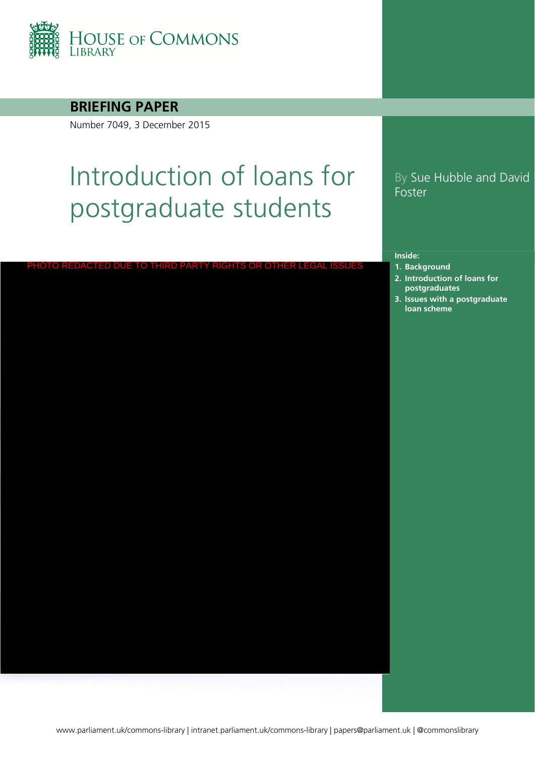

## **BRIEFING PAPER**

Number 7049, 3 December 2015

PHOTO REDACTED DUE TO THIRD PARTY RIGHTS OR OTHER LI

# Introduction of loans for postgraduate students

# By Sue Hubble and David Foster

#### **Inside:**

- **1. [Background](#page-3-0)**
- **2. Introduction of loans for postgraduates**
- **3. Issues with a postgraduate loan scheme**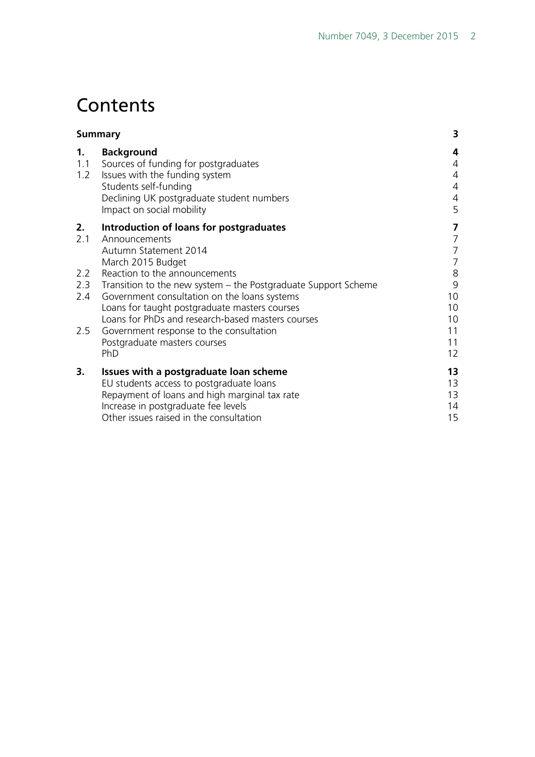# **Contents**

| <b>Summary</b>   |                                                                                                                                                                                                                                                           | 3                                                    |
|------------------|-----------------------------------------------------------------------------------------------------------------------------------------------------------------------------------------------------------------------------------------------------------|------------------------------------------------------|
| 1.<br>1.1<br>1.2 | <b>Background</b><br>Sources of funding for postgraduates<br>Issues with the funding system<br>Students self-funding<br>Declining UK postgraduate student numbers<br>Impact on social mobility                                                            | 4<br>4<br>$\overline{4}$<br>$\overline{4}$<br>4<br>5 |
| 2.<br>2.1        | Introduction of loans for postgraduates<br>Announcements<br>Autumn Statement 2014<br>March 2015 Budget                                                                                                                                                    | 7<br>7<br>7<br>7                                     |
| 2.2<br>2.4       | Reaction to the announcements<br>2.3 Transition to the new system – the Postgraduate Support Scheme<br>Government consultation on the loans systems<br>Loans for taught postgraduate masters courses<br>Loans for PhDs and research-based masters courses | $8\,$<br>9<br>10<br>10<br>10                         |
| 2.5              | Government response to the consultation<br>Postgraduate masters courses<br>PhD                                                                                                                                                                            | 11<br>11<br>12                                       |
| 3.               | Issues with a postgraduate loan scheme<br>EU students access to postgraduate loans<br>Repayment of loans and high marginal tax rate<br>Increase in postgraduate fee levels<br>Other issues raised in the consultation                                     | 13<br>13<br>13<br>14<br>15                           |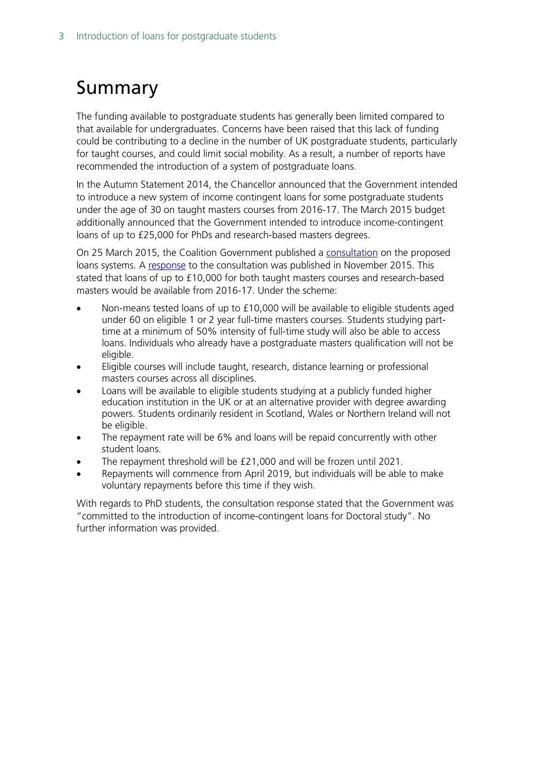# <span id="page-2-0"></span>Summary

The funding available to postgraduate students has generally been limited compared to that available for undergraduates. Concerns have been raised that this lack of funding could be contributing to a decline in the number of UK postgraduate students, particularly for taught courses, and could limit social mobility. As a result, a number of reports have recommended the introduction of a system of postgraduate loans.

In the Autumn Statement 2014, the Chancellor announced that the Government intended to introduce a new system of income contingent loans for some postgraduate students under the age of 30 on taught masters courses from 2016-17. The March 2015 budget additionally announced that the Government intended to introduce income-contingent loans of up to £25,000 for PhDs and research-based masters degrees.

On 25 March 2015, the Coalition Government published a [consultation](https://www.gov.uk/government/uploads/system/uploads/attachment_data/file/416243/BIS-15-185-consultation-on-support-for-postgraduate-study.pdf) on the proposed loans systems. A [response](https://www.gov.uk/government/uploads/system/uploads/attachment_data/file/479703/bis-15-573-support-postgraduate-study-response.pdf) to the consultation was published in November 2015. This stated that loans of up to £10,000 for both taught masters courses and research-based masters would be available from 2016-17. Under the scheme:

- Non-means tested loans of up to £10,000 will be available to eligible students aged under 60 on eligible 1 or 2 year full-time masters courses. Students studying parttime at a minimum of 50% intensity of full-time study will also be able to access loans. Individuals who already have a postgraduate masters qualification will not be eligible.
- Eligible courses will include taught, research, distance learning or professional masters courses across all disciplines.
- Loans will be available to eligible students studying at a publicly funded higher education institution in the UK or at an alternative provider with degree awarding powers. Students ordinarily resident in Scotland, Wales or Northern Ireland will not be eligible.
- The repayment rate will be 6% and loans will be repaid concurrently with other student loans.
- The repayment threshold will be £21,000 and will be frozen until 2021.
- Repayments will commence from April 2019, but individuals will be able to make voluntary repayments before this time if they wish.

With regards to PhD students, the consultation response stated that the Government was "committed to the introduction of income-contingent loans for Doctoral study". No further information was provided.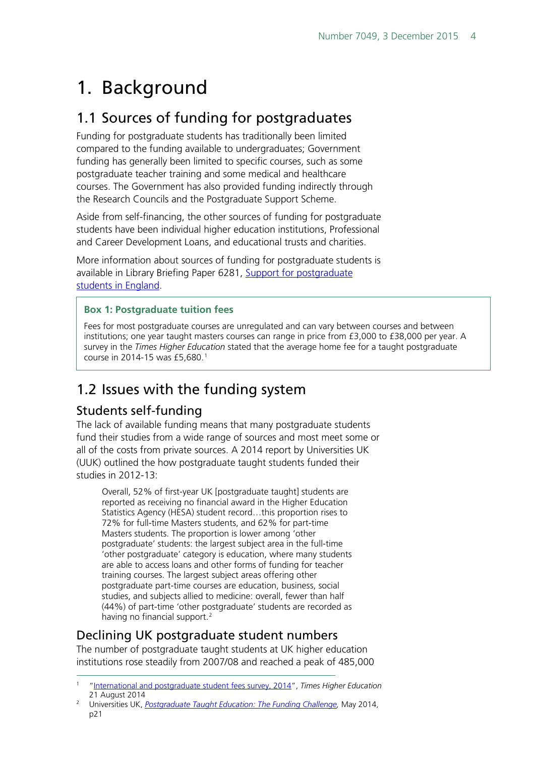# <span id="page-3-0"></span>1. Background

# <span id="page-3-1"></span>1.1 Sources of funding for postgraduates

Funding for postgraduate students has traditionally been limited compared to the funding available to undergraduates; Government funding has generally been limited to specific courses, such as some postgraduate teacher training and some medical and healthcare courses. The Government has also provided funding indirectly through the Research Councils and the Postgraduate Support Scheme.

Aside from self-financing, the other sources of funding for postgraduate students have been individual higher education institutions, Professional and Career Development Loans, and educational trusts and charities.

More information about sources of funding for postgraduate students is available in Library Briefing Paper 6281, Support for postgraduate students [in England.](http://researchbriefings.parliament.uk/ResearchBriefing/Summary/SN06281#fullreport)

### **Box 1: Postgraduate tuition fees**

Fees for most postgraduate courses are unregulated and can vary between courses and between institutions; one year taught masters courses can range in price from £3,000 to £38,000 per year. A survey in the *Times Higher Education* stated that the average home fee for a taught postgraduate course in 20[1](#page-3-5)4-15 was £5,680.<sup>1</sup>

# <span id="page-3-2"></span>1.2 Issues with the funding system

# <span id="page-3-3"></span>Students self-funding

The lack of available funding means that many postgraduate students fund their studies from a wide range of sources and most meet some or all of the costs from private sources. A 2014 report by Universities UK (UUK) outlined the how postgraduate taught students funded their studies in 2012-13:

Overall, 52% of first-year UK [postgraduate taught] students are reported as receiving no financial award in the Higher Education Statistics Agency (HESA) student record…this proportion rises to 72% for full-time Masters students, and 62% for part-time Masters students. The proportion is lower among 'other postgraduate' students: the largest subject area in the full-time 'other postgraduate' category is education, where many students are able to access loans and other forms of funding for teacher training courses. The largest subject areas offering other postgraduate part-time courses are education, business, social studies, and subjects allied to medicine: overall, fewer than half (44%) of part-time 'other postgraduate' students are recorded as having no financial support.<sup>[2](#page-3-6)</sup>

# <span id="page-3-4"></span>Declining UK postgraduate student numbers

The number of postgraduate taught students at UK higher education institutions rose steadily from 2007/08 and reached a peak of 485,000

<span id="page-3-5"></span> <sup>1</sup> ["International and postgraduate student fees survey, 2014](http://www.timeshighereducation.co.uk/features/international-and-postgrad-fee-survey-2014/2015207.article)", *Times Higher Education* 21 August 2014

<span id="page-3-6"></span><sup>&</sup>lt;sup>2</sup> Universities UK, *Postgraduate Taught Education: The Funding Challenge*, May 2014, p21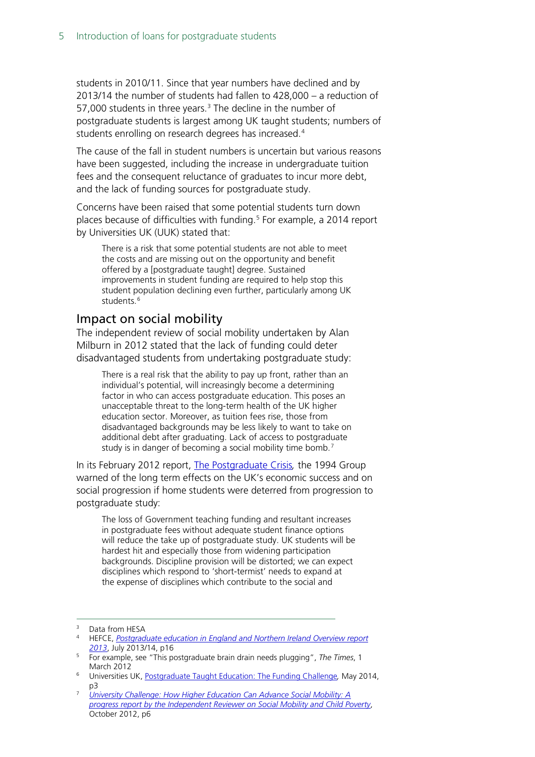students in 2010/11. Since that year numbers have declined and by 2013/14 the number of students had fallen to 428,000 – a reduction of 57,000 students in three years. $3$  The decline in the number of postgraduate students is largest among UK taught students; numbers of students enrolling on research degrees has increased. [4](#page-4-2)

The cause of the fall in student numbers is uncertain but various reasons have been suggested, including the increase in undergraduate tuition fees and the consequent reluctance of graduates to incur more debt, and the lack of funding sources for postgraduate study.

Concerns have been raised that some potential students turn down places because of difficulties with funding.<sup>[5](#page-4-3)</sup> For example, a 2014 report by Universities UK (UUK) stated that:

There is a risk that some potential students are not able to meet the costs and are missing out on the opportunity and benefit offered by a [postgraduate taught] degree. Sustained improvements in student funding are required to help stop this student population declining even further, particularly among UK students.<sup>[6](#page-4-4)</sup>

## <span id="page-4-0"></span>Impact on social mobility

The independent review of social mobility undertaken by Alan Milburn in 2012 stated that the lack of funding could deter disadvantaged students from undertaking postgraduate study:

There is a real risk that the ability to pay up front, rather than an individual's potential, will increasingly become a determining factor in who can access postgraduate education. This poses an unacceptable threat to the long-term health of the UK higher education sector. Moreover, as tuition fees rise, those from disadvantaged backgrounds may be less likely to want to take on additional debt after graduating. Lack of access to postgraduate study is in danger of becoming a social mobility time bomb. [7](#page-4-5)

In its February 2012 report, [The Postgraduate Crisis](http://old.1994group.ac.uk/newsitem.php?item=424)*,* the 1994 Group warned of the long term effects on the UK's economic success and on social progression if home students were deterred from progression to postgraduate study:

The loss of Government teaching funding and resultant increases in postgraduate fees without adequate student finance options will reduce the take up of postgraduate study. UK students will be hardest hit and especially those from widening participation backgrounds. Discipline provision will be distorted; we can expect disciplines which respond to 'short-termist' needs to expand at the expense of disciplines which contribute to the social and

- <span id="page-4-3"></span><sup>5</sup> For example, see "This postgraduate brain drain needs plugging", *The Times*, 1 March 2012
- <span id="page-4-4"></span><sup>6</sup> Universities UK, [Postgraduate Taught Education: The Funding Challenge](http://www.universitiesuk.ac.uk/highereducation/Documents/2014/PostgraduateTaughtEducationTheFundingChallenge.pdf)*,* May 2014, p3

<span id="page-4-1"></span><sup>&</sup>lt;sup>3</sup> Data from HESA

<span id="page-4-2"></span><sup>4</sup> HEFCE, *[Postgraduate education in England and Northern Ireland Overview report](http://www.hefce.ac.uk/media/hefce/content/pubs/2013/201314/Postgraduate%20education%20in%20England%20and%20Northern%20Ireland%20Overview%20report%202013.pdf)  [2013](http://www.hefce.ac.uk/media/hefce/content/pubs/2013/201314/Postgraduate%20education%20in%20England%20and%20Northern%20Ireland%20Overview%20report%202013.pdf)*, July 2013/14, p16

<span id="page-4-5"></span><sup>7</sup> *[University Challenge: How Higher Education Can Advance Social Mobility: A](https://www.gov.uk/government/uploads/system/uploads/attachment_data/file/80188/Higher-Education.pdf)  [progress report by the Independent Reviewer on Social Mobility and Child Poverty](https://www.gov.uk/government/uploads/system/uploads/attachment_data/file/80188/Higher-Education.pdf)*, October 2012, p6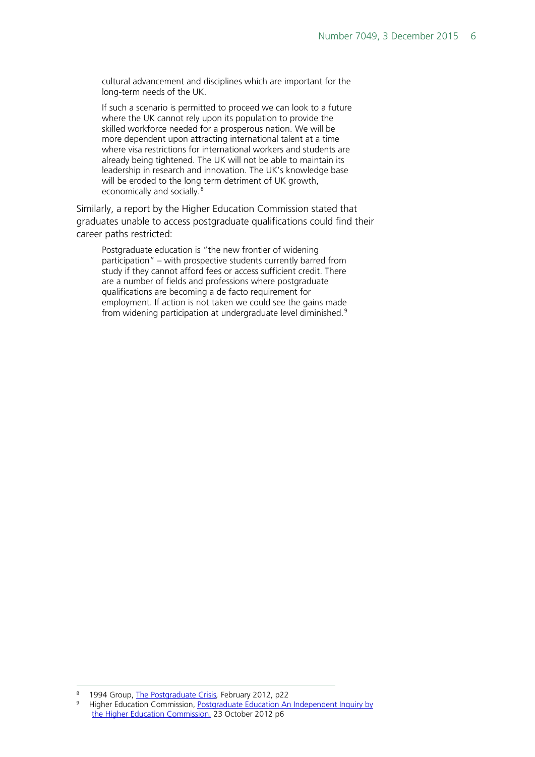cultural advancement and disciplines which are important for the long-term needs of the UK.

If such a scenario is permitted to proceed we can look to a future where the UK cannot rely upon its population to provide the skilled workforce needed for a prosperous nation. We will be more dependent upon attracting international talent at a time where visa restrictions for international workers and students are already being tightened. The UK will not be able to maintain its leadership in research and innovation. The UK's knowledge base will be eroded to the long term detriment of UK growth, economically and socially.<sup>[8](#page-5-0)</sup>

Similarly, a report by the Higher Education Commission stated that graduates unable to access postgraduate qualifications could find their career paths restricted:

Postgraduate education is "the new frontier of widening participation" – with prospective students currently barred from study if they cannot afford fees or access sufficient credit. There are a number of fields and professions where postgraduate qualifications are becoming a de facto requirement for employment. If action is not taken we could see the gains made from widening participation at undergraduate level diminished.<sup>[9](#page-5-1)</sup>

<span id="page-5-1"></span><span id="page-5-0"></span> <sup>8</sup> 1994 Group, [The Postgraduate Crisis](http://old.1994group.ac.uk/newsitem.php?item=424)*,* February 2012, p22

Higher Education Commission, Postgraduate Education An Independent Inquiry by [the Higher Education Commission,](http://www.policyconnect.org.uk/hec/research/report-postgraduate-education) 23 October 2012 p6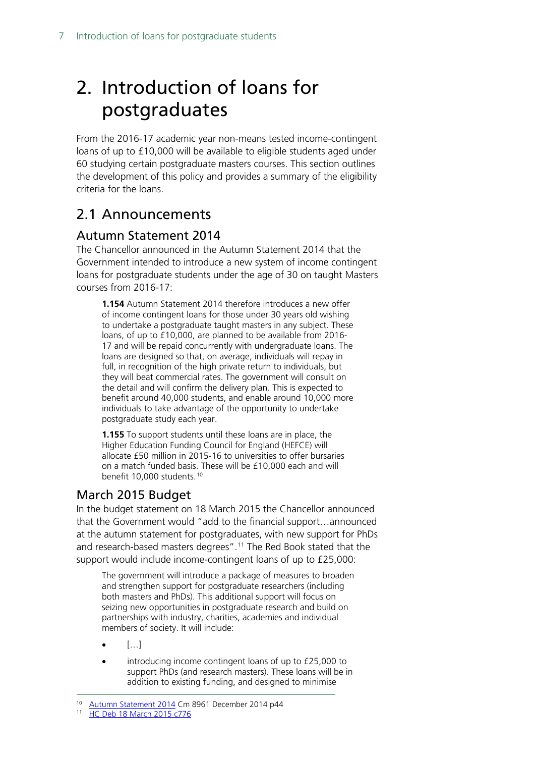# <span id="page-6-0"></span>2. Introduction of loans for postgraduates

From the 2016-17 academic year non-means tested income-contingent loans of up to £10,000 will be available to eligible students aged under 60 studying certain postgraduate masters courses. This section outlines the development of this policy and provides a summary of the eligibility criteria for the loans.

# <span id="page-6-1"></span>2.1 Announcements

# <span id="page-6-2"></span>Autumn Statement 2014

The Chancellor announced in the Autumn Statement 2014 that the Government intended to introduce a new system of income contingent loans for postgraduate students under the age of 30 on taught Masters courses from 2016-17:

**1.154** Autumn Statement 2014 therefore introduces a new offer of income contingent loans for those under 30 years old wishing to undertake a postgraduate taught masters in any subject. These loans, of up to £10,000, are planned to be available from 2016- 17 and will be repaid concurrently with undergraduate loans. The loans are designed so that, on average, individuals will repay in full, in recognition of the high private return to individuals, but they will beat commercial rates. The government will consult on the detail and will confirm the delivery plan. This is expected to benefit around 40,000 students, and enable around 10,000 more individuals to take advantage of the opportunity to undertake postgraduate study each year.

**1.155** To support students until these loans are in place, the Higher Education Funding Council for England (HEFCE) will allocate £50 million in 2015-16 to universities to offer bursaries on a match funded basis. These will be £10,000 each and will benefit [10](#page-6-4),000 students.<sup>10</sup>

# <span id="page-6-3"></span>March 2015 Budget

In the budget statement on 18 March 2015 the Chancellor announced that the Government would "add to the financial support…announced at the autumn statement for postgraduates, with new support for PhDs and research-based masters degrees".<sup>[11](#page-6-5)</sup> The Red Book stated that the support would include income-contingent loans of up to £25,000:

The government will introduce a package of measures to broaden and strengthen support for postgraduate researchers (including both masters and PhDs). This additional support will focus on seizing new opportunities in postgraduate research and build on partnerships with industry, charities, academies and individual members of society. It will include:

- $\bullet$  […]
- introducing income contingent loans of up to £25,000 to support PhDs (and research masters). These loans will be in addition to existing funding, and designed to minimise

<span id="page-6-5"></span>

<span id="page-6-4"></span><sup>&</sup>lt;sup>10</sup> Autumn Statement 2014 [C](https://www.gov.uk/government/publications/autumn-statement-documents)m 8961 December 2014 p44<br><sup>11</sup> [HC Deb 18 March 2015 c776](http://www.publications.parliament.uk/pa/cm201415/cmhansrd/cm150318/debtext/150318-0001.htm#15031840000001)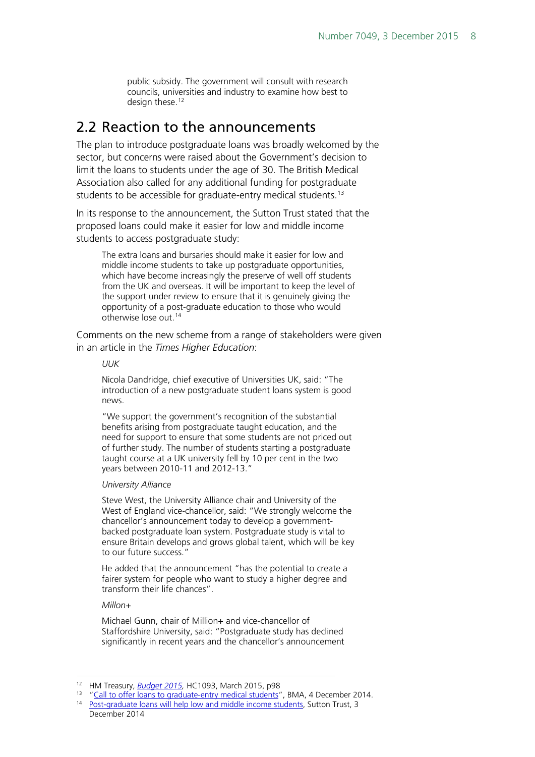public subsidy. The government will consult with research councils, universities and industry to examine how best to design these.<sup>[12](#page-7-1)</sup>

# <span id="page-7-0"></span>2.2 Reaction to the announcements

The plan to introduce postgraduate loans was broadly welcomed by the sector, but concerns were raised about the Government's decision to limit the loans to students under the age of 30. The British Medical Association also called for any additional funding for postgraduate students to be accessible for graduate-entry medical students.<sup>[13](#page-7-2)</sup>

In its response to the announcement, the Sutton Trust stated that the proposed loans could make it easier for low and middle income students to access postgraduate study:

The extra loans and bursaries should make it easier for low and middle income students to take up postgraduate opportunities, which have become increasingly the preserve of well off students from the UK and overseas. It will be important to keep the level of the support under review to ensure that it is genuinely giving the opportunity of a post-graduate education to those who would otherwise lose out.<sup>[14](#page-7-3)</sup>

Comments on the new scheme from a range of stakeholders were given in an article in the *Times Higher Education*:

#### *UUK*

Nicola Dandridge, chief executive of Universities UK, said: "The introduction of a new postgraduate student loans system is good news.

"We support the government's recognition of the substantial benefits arising from postgraduate taught education, and the need for support to ensure that some students are not priced out of further study. The number of students starting a postgraduate taught course at a UK university fell by 10 per cent in the two years between 2010-11 and 2012-13."

#### *University Alliance*

Steve West, the University Alliance chair and University of the West of England vice-chancellor, said: "We strongly welcome the chancellor's announcement today to develop a governmentbacked postgraduate loan system. Postgraduate study is vital to ensure Britain develops and grows global talent, which will be key to our future success."

He added that the announcement "has the potential to create a fairer system for people who want to study a higher degree and transform their life chances".

#### *Millon+*

Michael Gunn, chair of Million+ and vice-chancellor of Staffordshire University, said: "Postgraduate study has declined significantly in recent years and the chancellor's announcement

<span id="page-7-1"></span><sup>&</sup>lt;sup>12</sup> HM Treasury, *Budget 2015*, HC1093, March 2015, p98<br><sup>13</sup> "Call to offer loans to graduate-entry medical students", BMA, 4 December 2014.

<span id="page-7-3"></span><span id="page-7-2"></span><sup>&</sup>lt;sup>14</sup> Post-graduate-loans will help low and middle income students, Sutton Trust, 3 December 2014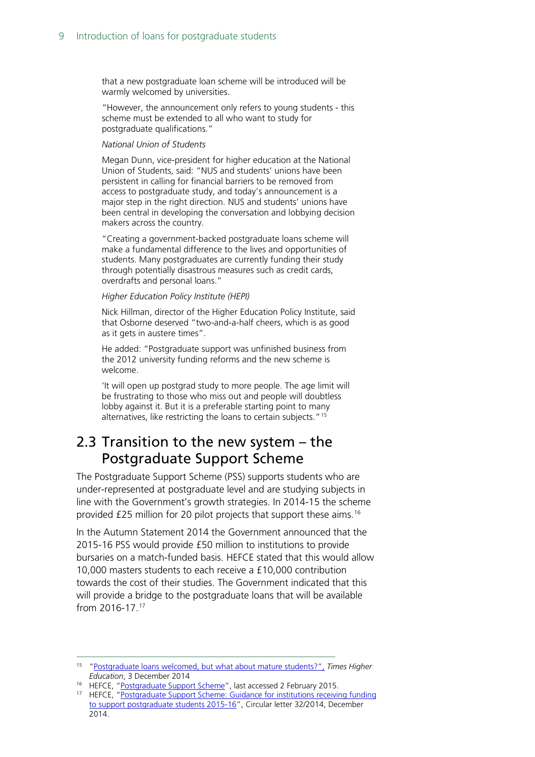that a new postgraduate loan scheme will be introduced will be warmly welcomed by universities.

"However, the announcement only refers to young students - this scheme must be extended to all who want to study for postgraduate qualifications."

#### *National Union of Students*

Megan Dunn, vice-president for higher education at the National Union of Students, said: "NUS and students' unions have been persistent in calling for financial barriers to be removed from access to postgraduate study, and today's announcement is a major step in the right direction. NUS and students' unions have been central in developing the conversation and lobbying decision makers across the country.

"Creating a government-backed postgraduate loans scheme will make a fundamental difference to the lives and opportunities of students. Many postgraduates are currently funding their study through potentially disastrous measures such as credit cards, overdrafts and personal loans."

#### *Higher Education Policy Institute (HEPI)*

Nick Hillman, director of the Higher Education Policy Institute, said that Osborne deserved "two-and-a-half cheers, which is as good as it gets in austere times".

He added: "Postgraduate support was unfinished business from the 2012 university funding reforms and the new scheme is welcome.

'It will open up postgrad study to more people. The age limit will be frustrating to those who miss out and people will doubtless lobby against it. But it is a preferable starting point to many alternatives, like restricting the loans to certain subjects."[15](#page-8-1)

# <span id="page-8-0"></span>2.3 Transition to the new system – the Postgraduate Support Scheme

The Postgraduate Support Scheme (PSS) supports students who are under-represented at postgraduate level and are studying subjects in line with the Government's growth strategies. In 2014-15 the scheme provided £25 million for 20 pilot projects that support these aims.[16](#page-8-2)

In the Autumn Statement 2014 the Government announced that the 2015-16 PSS would provide £50 million to institutions to provide bursaries on a match-funded basis. HEFCE stated that this would allow 10,000 masters students to each receive a £10,000 contribution towards the cost of their studies. The Government indicated that this will provide a bridge to the postgraduate loans that will be available from 2016-17.[17](#page-8-3)

<span id="page-8-1"></span> <sup>15</sup> ["Postgraduate loans welcomed, but what about mature students?",](http://www.timeshighereducation.co.uk/news/postgraduate-loans-welcomed-but-what-about-mature-students/2017373.article) *Times Higher Education*, 3 December 2014

<span id="page-8-2"></span><sup>&</sup>lt;sup>16</sup> HEFCE, ["Postgraduate Support Scheme"](http://www.hefce.ac.uk/sas/pss/), last accessed 2 February 2015.

<span id="page-8-3"></span><sup>&</sup>lt;sup>17</sup> HEFCE, "Postgraduate Support Scheme: Guidance for institutions receiving funding [to support postgraduate students 2015-16"](http://www.hefce.ac.uk/pubs/year/2014/cl322014/name,99146,en.html), Circular letter 32/2014, December 2014.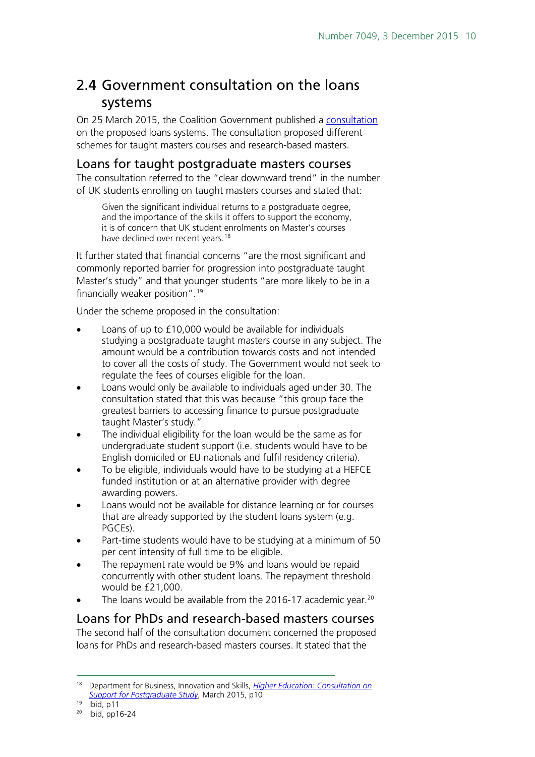# <span id="page-9-0"></span>2.4 Government consultation on the loans systems

On 25 March 2015, the Coalition Government published a [consultation](https://www.gov.uk/government/uploads/system/uploads/attachment_data/file/416243/BIS-15-185-consultation-on-support-for-postgraduate-study.pdf) on the proposed loans systems. The consultation proposed different schemes for taught masters courses and research-based masters.

## <span id="page-9-1"></span>Loans for taught postgraduate masters courses

The consultation referred to the "clear downward trend" in the number of UK students enrolling on taught masters courses and stated that:

Given the significant individual returns to a postgraduate degree, and the importance of the skills it offers to support the economy, it is of concern that UK student enrolments on Master's courses have declined over recent years.<sup>[18](#page-9-3)</sup>

It further stated that financial concerns "are the most significant and commonly reported barrier for progression into postgraduate taught Master's study" and that younger students "are more likely to be in a financially weaker position".[19](#page-9-4)

Under the scheme proposed in the consultation:

- Loans of up to £10,000 would be available for individuals studying a postgraduate taught masters course in any subject. The amount would be a contribution towards costs and not intended to cover all the costs of study. The Government would not seek to regulate the fees of courses eligible for the loan.
- Loans would only be available to individuals aged under 30. The consultation stated that this was because "this group face the greatest barriers to accessing finance to pursue postgraduate taught Master's study."
- The individual eligibility for the loan would be the same as for undergraduate student support (i.e. students would have to be English domiciled or EU nationals and fulfil residency criteria).
- To be eligible, individuals would have to be studying at a HEFCE funded institution or at an alternative provider with degree awarding powers.
- Loans would not be available for distance learning or for courses that are already supported by the student loans system (e.g. PGCEs).
- Part-time students would have to be studying at a minimum of 50 per cent intensity of full time to be eligible.
- The repayment rate would be 9% and loans would be repaid concurrently with other student loans. The repayment threshold would be £21,000.
- The loans would be available from the [20](#page-9-5)16-17 academic year. $20$

## <span id="page-9-2"></span>Loans for PhDs and research-based masters courses

The second half of the consultation document concerned the proposed loans for PhDs and research-based masters courses. It stated that the

<span id="page-9-3"></span> <sup>18</sup> Department for Business, Innovation and Skills, *[Higher Education: Consultation on](https://www.gov.uk/government/uploads/system/uploads/attachment_data/file/416243/BIS-15-185-consultation-on-support-for-postgraduate-study.pdf)  [Support for Postgraduate Study](https://www.gov.uk/government/uploads/system/uploads/attachment_data/file/416243/BIS-15-185-consultation-on-support-for-postgraduate-study.pdf)*, March 2015, p10

 $19$  Ibid, p11

<span id="page-9-5"></span><span id="page-9-4"></span><sup>20</sup> Ibid, pp16-24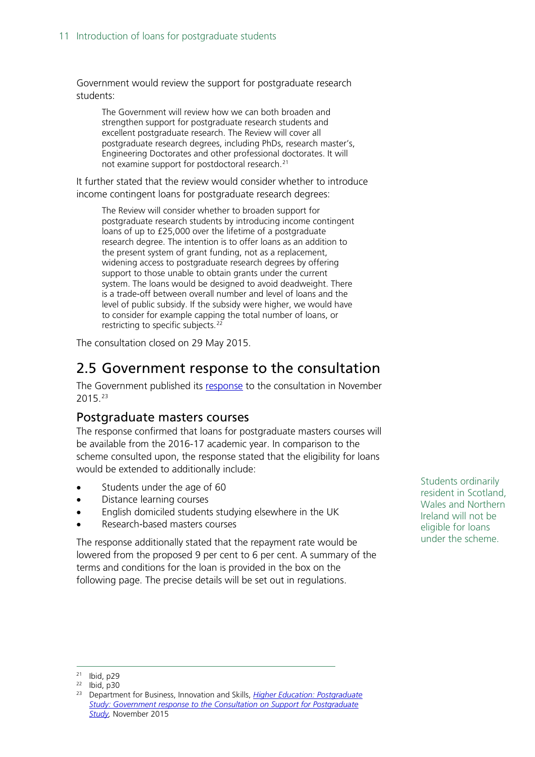Government would review the support for postgraduate research students:

The Government will review how we can both broaden and strengthen support for postgraduate research students and excellent postgraduate research. The Review will cover all postgraduate research degrees, including PhDs, research master's, Engineering Doctorates and other professional doctorates. It will not examine support for postdoctoral research.[21](#page-10-2)

It further stated that the review would consider whether to introduce income contingent loans for postgraduate research degrees:

The Review will consider whether to broaden support for postgraduate research students by introducing income contingent loans of up to £25,000 over the lifetime of a postgraduate research degree. The intention is to offer loans as an addition to the present system of grant funding, not as a replacement, widening access to postgraduate research degrees by offering support to those unable to obtain grants under the current system. The loans would be designed to avoid deadweight. There is a trade-off between overall number and level of loans and the level of public subsidy. If the subsidy were higher, we would have to consider for example capping the total number of loans, or restricting to specific subjects.<sup>[22](#page-10-3)</sup>

The consultation closed on 29 May 2015.

# <span id="page-10-0"></span>2.5 Government response to the consultation

The Government published its [response](https://www.gov.uk/government/uploads/system/uploads/attachment_data/file/479703/bis-15-573-support-postgraduate-study-response.pdf) to the consultation in November 2015.[23](#page-10-4)

## <span id="page-10-1"></span>Postgraduate masters courses

The response confirmed that loans for postgraduate masters courses will be available from the 2016-17 academic year. In comparison to the scheme consulted upon, the response stated that the eligibility for loans would be extended to additionally include:

- Students under the age of 60
- Distance learning courses
- English domiciled students studying elsewhere in the UK
- Research-based masters courses

The response additionally stated that the repayment rate would be lowered from the proposed 9 per cent to 6 per cent. A summary of the terms and conditions for the loan is provided in the box on the following page. The precise details will be set out in regulations.

Students ordinarily resident in Scotland, Wales and Northern Ireland will not be eligible for loans under the scheme.

<span id="page-10-3"></span><span id="page-10-2"></span> <sup>21</sup> Ibid, p29

 $22$  Ibid, p30

<span id="page-10-4"></span><sup>23</sup> Department for Business, Innovation and Skills, *[Higher Education: Postgraduate](https://www.gov.uk/government/uploads/system/uploads/attachment_data/file/479703/bis-15-573-support-postgraduate-study-response.pdf)  [Study: Government response to the Consultation on Support for Postgraduate](https://www.gov.uk/government/uploads/system/uploads/attachment_data/file/479703/bis-15-573-support-postgraduate-study-response.pdf)  [Study,](https://www.gov.uk/government/uploads/system/uploads/attachment_data/file/479703/bis-15-573-support-postgraduate-study-response.pdf)* November 2015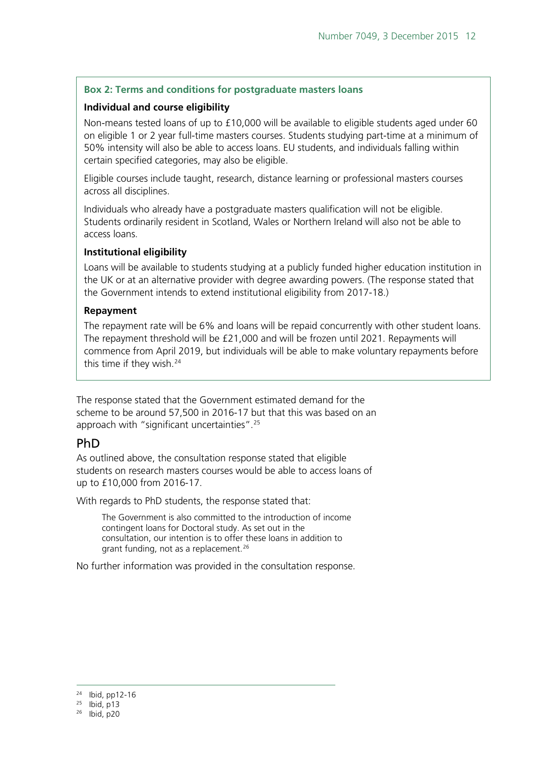### **Box 2: Terms and conditions for postgraduate masters loans**

### **Individual and course eligibility**

Non-means tested loans of up to £10,000 will be available to eligible students aged under 60 on eligible 1 or 2 year full-time masters courses. Students studying part-time at a minimum of 50% intensity will also be able to access loans. EU students, and individuals falling within certain specified categories, may also be eligible.

Eligible courses include taught, research, distance learning or professional masters courses across all disciplines.

Individuals who already have a postgraduate masters qualification will not be eligible. Students ordinarily resident in Scotland, Wales or Northern Ireland will also not be able to access loans.

#### **Institutional eligibility**

Loans will be available to students studying at a publicly funded higher education institution in the UK or at an alternative provider with degree awarding powers. (The response stated that the Government intends to extend institutional eligibility from 2017-18.)

#### **Repayment**

The repayment rate will be 6% and loans will be repaid concurrently with other student loans. The repayment threshold will be £21,000 and will be frozen until 2021. Repayments will commence from April 2019, but individuals will be able to make voluntary repayments before this time if they wish.<sup>[24](#page-11-1)</sup>

The response stated that the Government estimated demand for the scheme to be around 57,500 in 2016-17 but that this was based on an approach with "significant uncertainties"[.25](#page-11-2)

## <span id="page-11-0"></span>PhD

As outlined above, the consultation response stated that eligible students on research masters courses would be able to access loans of up to £10,000 from 2016-17.

With regards to PhD students, the response stated that:

The Government is also committed to the introduction of income contingent loans for Doctoral study. As set out in the consultation, our intention is to offer these loans in addition to grant funding, not as a replacement.<sup>[26](#page-11-3)</sup>

No further information was provided in the consultation response.

 <sup>24</sup> Ibid, pp12-16

<span id="page-11-2"></span><span id="page-11-1"></span> $25$  Ibid, p13

<sup>26</sup> Ibid, p20

<span id="page-11-3"></span>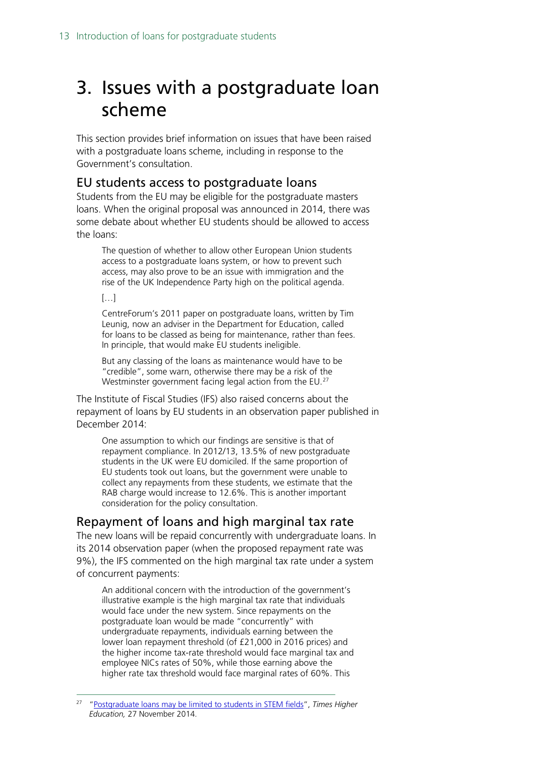# <span id="page-12-0"></span>3. Issues with a postgraduate loan scheme

This section provides brief information on issues that have been raised with a postgraduate loans scheme, including in response to the Government's consultation.

## <span id="page-12-1"></span>EU students access to postgraduate loans

Students from the EU may be eligible for the postgraduate masters loans. When the original proposal was announced in 2014, there was some debate about whether EU students should be allowed to access the loans:

The question of whether to allow other European Union students access to a postgraduate loans system, or how to prevent such access, may also prove to be an issue with immigration and the rise of the UK Independence Party high on the political agenda.

[…]

CentreForum's 2011 paper on postgraduate loans, written by Tim Leunig, now an adviser in the Department for Education, called for loans to be classed as being for maintenance, rather than fees. In principle, that would make EU students ineligible.

But any classing of the loans as maintenance would have to be "credible", some warn, otherwise there may be a risk of the Westminster government facing legal action from the EU.<sup>[27](#page-12-3)</sup>

The Institute of Fiscal Studies (IFS) also raised concerns about the repayment of loans by EU students in an observation paper published in December 2014:

One assumption to which our findings are sensitive is that of repayment compliance. In 2012/13, 13.5% of new postgraduate students in the UK were EU domiciled. If the same proportion of EU students took out loans, but the government were unable to collect any repayments from these students, we estimate that the RAB charge would increase to 12.6%. This is another important consideration for the policy consultation.

## <span id="page-12-2"></span>Repayment of loans and high marginal tax rate

The new loans will be repaid concurrently with undergraduate loans. In its 2014 observation paper (when the proposed repayment rate was 9%), the IFS commented on the high marginal tax rate under a system of concurrent payments:

An additional concern with the introduction of the government's illustrative example is the high marginal tax rate that individuals would face under the new system. Since repayments on the postgraduate loan would be made "concurrently" with undergraduate repayments, individuals earning between the lower loan repayment threshold (of £21,000 in 2016 prices) and the higher income tax-rate threshold would face marginal tax and employee NICs rates of 50%, while those earning above the higher rate tax threshold would face marginal rates of 60%. This

<span id="page-12-3"></span> 27 ["Postgraduate loans may be limited to students in STEM fields"](http://www.timeshighereducation.co.uk/news/postgraduate-loans-may-be-limited-to-students-in-stem-fields/2017197.article), *Times Higher Education,* 27 November 2014.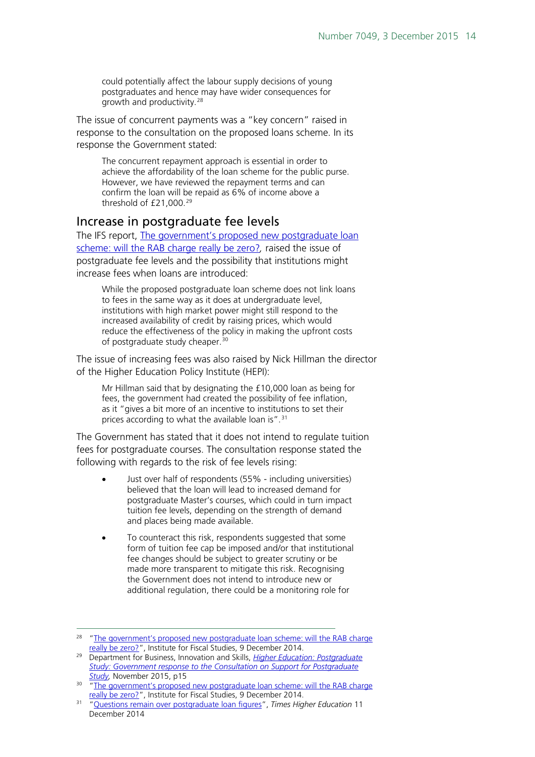could potentially affect the labour supply decisions of young postgraduates and hence may have wider consequences for growth and productivity.[28](#page-13-1)

The issue of concurrent payments was a "key concern" raised in response to the consultation on the proposed loans scheme. In its response the Government stated:

The concurrent repayment approach is essential in order to achieve the affordability of the loan scheme for the public purse. However, we have reviewed the repayment terms and can confirm the loan will be repaid as 6% of income above a threshold of £21,000.<sup>[29](#page-13-2)</sup>

### <span id="page-13-0"></span>Increase in postgraduate fee levels

The IFS report, [The government's proposed new postgraduate loan](http://www.ifs.org.uk/publications/7472)  [scheme: will the RAB charge really be zero?](http://www.ifs.org.uk/publications/7472)*,* raised the issue of postgraduate fee levels and the possibility that institutions might increase fees when loans are introduced:

While the proposed postgraduate loan scheme does not link loans to fees in the same way as it does at undergraduate level, institutions with high market power might still respond to the increased availability of credit by raising prices, which would reduce the effectiveness of the policy in making the upfront costs of postgraduate study cheaper.<sup>[30](#page-13-3)</sup>

The issue of increasing fees was also raised by Nick Hillman the director of the Higher Education Policy Institute (HEPI):

Mr Hillman said that by designating the £10,000 loan as being for fees, the government had created the possibility of fee inflation, as it "gives a bit more of an incentive to institutions to set their prices according to what the available loan is".<sup>[31](#page-13-4)</sup>

The Government has stated that it does not intend to regulate tuition fees for postgraduate courses. The consultation response stated the following with regards to the risk of fee levels rising:

- Just over half of respondents (55% including universities) believed that the loan will lead to increased demand for postgraduate Master's courses, which could in turn impact tuition fee levels, depending on the strength of demand and places being made available.
- To counteract this risk, respondents suggested that some form of tuition fee cap be imposed and/or that institutional fee changes should be subject to greater scrutiny or be made more transparent to mitigate this risk. Recognising the Government does not intend to introduce new or additional regulation, there could be a monitoring role for

<span id="page-13-1"></span><sup>&</sup>lt;sup>28</sup> "The government's proposed new postgraduate loan scheme: will the RAB charge [really be zero?"](http://www.ifs.org.uk/publications/7472), Institute for Fiscal Studies, 9 December 2014.

<span id="page-13-2"></span><sup>29</sup> Department for Business, Innovation and Skills, *[Higher Education: Postgraduate](https://www.gov.uk/government/uploads/system/uploads/attachment_data/file/479703/bis-15-573-support-postgraduate-study-response.pdf)  [Study: Government response to the Consultation on Support for Postgraduate](https://www.gov.uk/government/uploads/system/uploads/attachment_data/file/479703/bis-15-573-support-postgraduate-study-response.pdf)  [Study,](https://www.gov.uk/government/uploads/system/uploads/attachment_data/file/479703/bis-15-573-support-postgraduate-study-response.pdf)* November 2015, p15

<span id="page-13-3"></span><sup>&</sup>lt;sup>30</sup> "The government's proposed new postgraduate loan scheme: will the RAB charge [really be zero?"](http://www.ifs.org.uk/publications/7472), Institute for Fiscal Studies, 9 December 2014.

<span id="page-13-4"></span><sup>31</sup> ["Questions remain over postgraduate loan figures"](http://www.timeshighereducation.co.uk/news/questions-remain-over-postgraduate-loan-figures/2017463.article), *Times Higher Education* 11 December 2014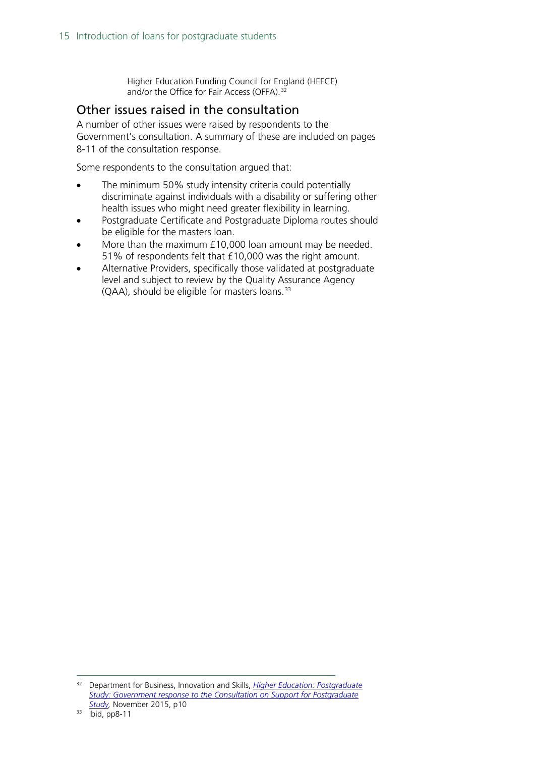Higher Education Funding Council for England (HEFCE) and/or the Office for Fair Access (OFFA).<sup>[32](#page-14-1)</sup>

## <span id="page-14-0"></span>Other issues raised in the consultation

A number of other issues were raised by respondents to the Government's consultation. A summary of these are included on pages 8-11 of the consultation response.

Some respondents to the consultation argued that:

- The minimum 50% study intensity criteria could potentially discriminate against individuals with a disability or suffering other health issues who might need greater flexibility in learning.
- Postgraduate Certificate and Postgraduate Diploma routes should be eligible for the masters loan.
- More than the maximum £10,000 loan amount may be needed. 51% of respondents felt that £10,000 was the right amount.
- Alternative Providers, specifically those validated at postgraduate level and subject to review by the Quality Assurance Agency (QAA), should be eligible for masters loans. [33](#page-14-2)

<span id="page-14-2"></span><span id="page-14-1"></span> <sup>32</sup> Department for Business, Innovation and Skills, *[Higher Education: Postgraduate](https://www.gov.uk/government/uploads/system/uploads/attachment_data/file/479703/bis-15-573-support-postgraduate-study-response.pdf)  [Study: Government response to the Consultation on Support for Postgraduate](https://www.gov.uk/government/uploads/system/uploads/attachment_data/file/479703/bis-15-573-support-postgraduate-study-response.pdf)  [Study,](https://www.gov.uk/government/uploads/system/uploads/attachment_data/file/479703/bis-15-573-support-postgraduate-study-response.pdf)* November 2015, p10